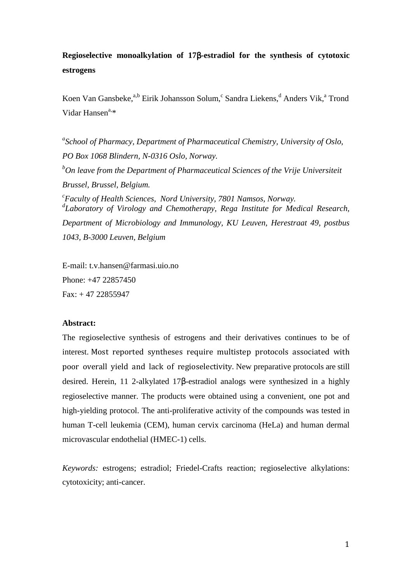# **Regioselective monoalkylation of 17**β**-estradiol for the synthesis of cytotoxic estrogens**

Koen Van Gansbeke,<sup>a,b</sup> Eirik Johansson Solum,<sup>c</sup> Sandra Liekens,<sup>d</sup> Anders Vik,<sup>a</sup> Trond Vidar Hansen $a, *$ 

*a School of Pharmacy, Department of Pharmaceutical Chemistry, University of Oslo, PO Box 1068 Blindern, N-0316 Oslo, Norway. <sup>b</sup>On leave from the Department of Pharmaceutical Sciences of the Vrije Universiteit Brussel, Brussel, Belgium. c Faculty of Health Sciences, Nord University, 7801 Namsos, Norway. d Laboratory of Virology and Chemotherapy, Rega Institute for Medical Research, Department of Microbiology and Immunology, KU Leuven, Herestraat 49, postbus 1043, B-3000 Leuven, Belgium*

E-mail: t.v.hansen@farmasi.uio.no Phone: +47 22857450 Fax: + 47 22855947

## **Abstract:**

The regioselective synthesis of estrogens and their derivatives continues to be of interest. Most reported syntheses require multistep protocols associated with poor overall yield and lack of regioselectivity. New preparative protocols are still desired. Herein, 11 2-alkylated 17β-estradiol analogs were synthesized in a highly regioselective manner. The products were obtained using a convenient, one pot and high-yielding protocol. The anti-proliferative activity of the compounds was tested in human T-cell leukemia (CEM), human cervix carcinoma (HeLa) and human dermal microvascular endothelial (HMEC-1) cells.

*Keywords:* estrogens; estradiol; Friedel-Crafts reaction; regioselective alkylations: cytotoxicity; anti-cancer.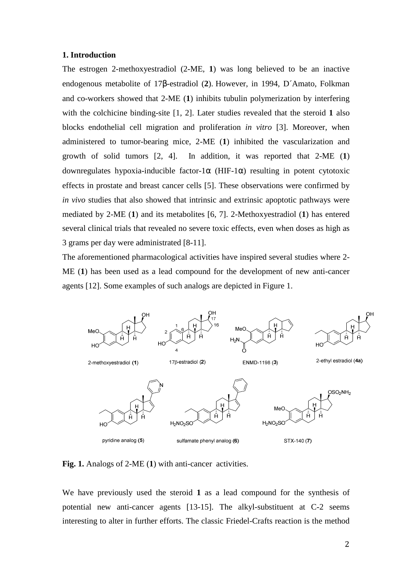### **1. Introduction**

The estrogen 2-methoxyestradiol (2-ME, **1**) was long believed to be an inactive endogenous metabolite of 17β-estradiol (**2**). However, in 1994, D´Amato, Folkman and co-workers showed that 2-ME (**1**) inhibits tubulin polymerization by interfering with the colchicine binding-site [1, 2]. Later studies revealed that the steroid **1** also blocks endothelial cell migration and proliferation *in vitro* [3]. Moreover, when administered to tumor-bearing mice, 2-ME (**1**) inhibited the vascularization and growth of solid tumors [2, 4]. In addition, it was reported that 2-ME (**1**) downregulates hypoxia-inducible factor- $1\alpha$  (HIF- $1\alpha$ ) resulting in potent cytotoxic effects in prostate and breast cancer cells [5]. These observations were confirmed by *in vivo* studies that also showed that intrinsic and extrinsic apoptotic pathways were mediated by 2-ME (**1**) and its metabolites [6, 7]. 2-Methoxyestradiol (**1**) has entered several clinical trials that revealed no severe toxic effects, even when doses as high as 3 grams per day were administrated [8-11].

The aforementioned pharmacological activities have inspired several studies where 2- ME (**1**) has been used as a lead compound for the development of new anti-cancer agents [12]. Some examples of such analogs are depicted in Figure 1.



**Fig. 1.** Analogs of 2-ME (**1**) with anti-cancer activities.

We have previously used the steroid **1** as a lead compound for the synthesis of potential new anti-cancer agents [13-15]. The alkyl-substituent at C-2 seems interesting to alter in further efforts. The classic Friedel-Crafts reaction is the method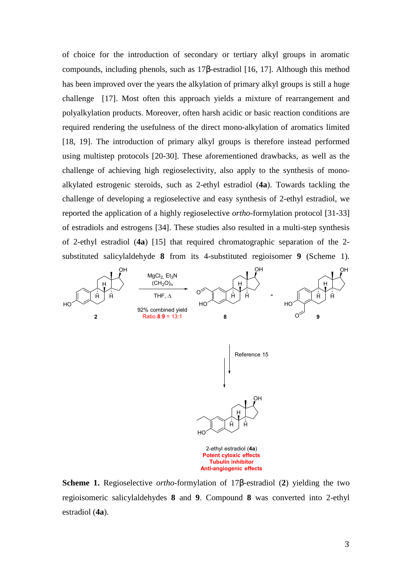of choice for the introduction of secondary or tertiary alkyl groups in aromatic compounds, including phenols, such as 17β-estradiol [16, 17]. Although this method has been improved over the years the alkylation of primary alkyl groups is still a huge challenge [17]. Most often this approach yields a mixture of rearrangement and polyalkylation products. Moreover, often harsh acidic or basic reaction conditions are required rendering the usefulness of the direct mono-alkylation of aromatics limited [18, 19]. The introduction of primary alkyl groups is therefore instead performed using multistep protocols [20-30]. These aforementioned drawbacks, as well as the challenge of achieving high regioselectivity, also apply to the synthesis of monoalkylated estrogenic steroids, such as 2-ethyl estradiol (**4a**). Towards tackling the challenge of developing a regioselective and easy synthesis of 2-ethyl estradiol, we reported the application of a highly regioselective *ortho*-formylation protocol [31-33] of estradiols and estrogens [34]. These studies also resulted in a multi-step synthesis of 2-ethyl estradiol (**4a**) [15] that required chromatographic separation of the 2 substituted salicylaldehyde **8** from its 4-substituted regioisomer **9** (Scheme 1).



**Scheme 1.** Regioselective *ortho*-formylation of 17β-estradiol (**2**) yielding the two regioisomeric salicylaldehydes **8** and **9**. Compound **8** was converted into 2-ethyl estradiol (**4a**).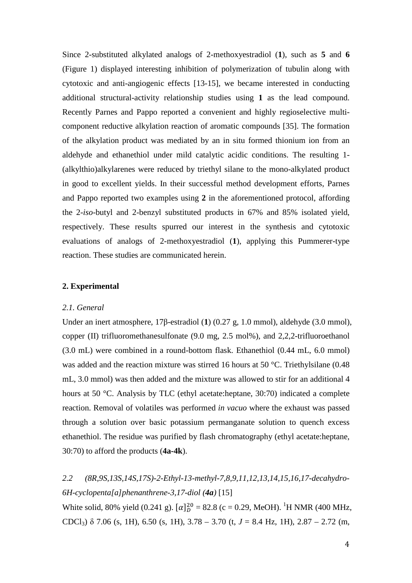Since 2-substituted alkylated analogs of 2-methoxyestradiol (**1**), such as **5** and **6** (Figure 1) displayed interesting inhibition of polymerization of tubulin along with cytotoxic and anti-angiogenic effects [13-15], we became interested in conducting additional structural-activity relationship studies using **1** as the lead compound. Recently Parnes and Pappo reported a convenient and highly regioselective multicomponent reductive alkylation reaction of aromatic compounds [35]. The formation of the alkylation product was mediated by an in situ formed thionium ion from an aldehyde and ethanethiol under mild catalytic acidic conditions. The resulting 1- (alkylthio)alkylarenes were reduced by triethyl silane to the mono-alkylated product in good to excellent yields. In their successful method development efforts, Parnes and Pappo reported two examples using **2** in the aforementioned protocol, affording the 2-*iso*-butyl and 2-benzyl substituted products in 67% and 85% isolated yield, respectively. These results spurred our interest in the synthesis and cytotoxic evaluations of analogs of 2-methoxyestradiol (**1**), applying this Pummerer-type reaction. These studies are communicated herein.

### **2. Experimental**

#### *2.1. General*

Under an inert atmosphere, 17β-estradiol (**1**) (0.27 g, 1.0 mmol), aldehyde (3.0 mmol), copper (II) trifluoromethanesulfonate (9.0 mg, 2.5 mol%), and 2,2,2-trifluoroethanol (3.0 mL) were combined in a round-bottom flask. Ethanethiol (0.44 mL, 6.0 mmol) was added and the reaction mixture was stirred 16 hours at 50 °C. Triethylsilane (0.48 mL, 3.0 mmol) was then added and the mixture was allowed to stir for an additional 4 hours at 50 °C. Analysis by TLC (ethyl acetate:heptane, 30:70) indicated a complete reaction. Removal of volatiles was performed *in vacuo* where the exhaust was passed through a solution over basic potassium permanganate solution to quench excess ethanethiol. The residue was purified by flash chromatography (ethyl acetate:heptane, 30:70) to afford the products (**4a-4k**).

# *2.2 (8R,9S,13S,14S,17S)-2-Ethyl-13-methyl-7,8,9,11,12,13,14,15,16,17-decahydro-6H-cyclopenta[a]phenanthrene-3,17-diol (4a)* [15]

White solid, 80% yield (0.241 g).  $[\alpha]_D^{20} = 82.8$  (c = 0.29, MeOH). <sup>1</sup>H NMR (400 MHz, CDCl3) δ 7.06 (s, 1H), 6.50 (s, 1H), 3.78 – 3.70 (t, *J* = 8.4 Hz, 1H), 2.87 – 2.72 (m,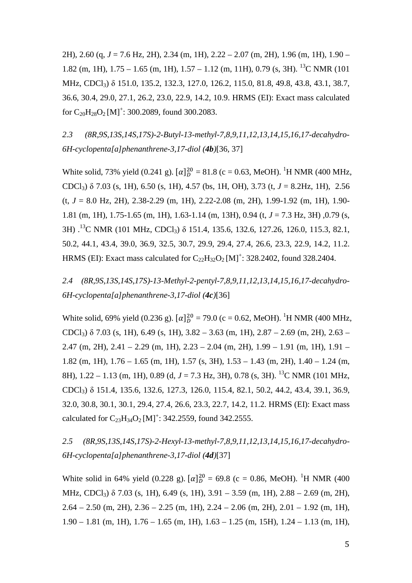2H), 2.60 (q, *J* = 7.6 Hz, 2H), 2.34 (m, 1H), 2.22 – 2.07 (m, 2H), 1.96 (m, 1H), 1.90 – 1.82 (m, 1H), 1.75 – 1.65 (m, 1H), 1.57 – 1.12 (m, 11H), 0.79 (s, 3H). <sup>13</sup>C NMR (101 MHz, CDCl<sub>3</sub>) δ 151.0, 135.2, 132.3, 127.0, 126.2, 115.0, 81.8, 49.8, 43.8, 43.1, 38.7, 36.6, 30.4, 29.0, 27.1, 26.2, 23.0, 22.9, 14.2, 10.9. HRMS (EI): Exact mass calculated for  $C_{20}H_{28}O_2$  [M]<sup>+</sup>: 300.2089, found 300.2083.

*2.3 (8R,9S,13S,14S,17S)-2-Butyl-13-methyl-7,8,9,11,12,13,14,15,16,17-decahydro-6H-cyclopenta[a]phenanthrene-3,17-diol (4b)*[36, 37]

White solid, 73% yield (0.241 g).  $[\alpha]_D^{20} = 81.8$  (c = 0.63, MeOH). <sup>1</sup>H NMR (400 MHz, CDCl3) δ 7.03 (s, 1H), 6.50 (s, 1H), 4.57 (bs, 1H, OH), 3.73 (t, *J* = 8.2Hz, 1H), 2.56 (t, *J* = 8.0 Hz, 2H), 2.38-2.29 (m, 1H), 2.22-2.08 (m, 2H), 1.99-1.92 (m, 1H), 1.90- 1.81 (m, 1H), 1.75-1.65 (m, 1H), 1.63-1.14 (m, 13H), 0.94 (t, *J* = 7.3 Hz, 3H) ,0.79 (s, 3H) .<sup>13</sup>C NMR (101 MHz, CDCl3) δ 151.4, 135.6, 132.6, 127.26, 126.0, 115.3, 82.1, 50.2, 44.1, 43.4, 39.0, 36.9, 32.5, 30.7, 29.9, 29.4, 27.4, 26.6, 23.3, 22.9, 14.2, 11.2. HRMS (EI): Exact mass calculated for  $C_{22}H_{32}O_2 [M]$ <sup>+</sup>: 328.2402, found 328.2404.

*2.4 (8R,9S,13S,14S,17S)-13-Methyl-2-pentyl-7,8,9,11,12,13,14,15,16,17-decahydro-6H-cyclopenta[a]phenanthrene-3,17-diol (4c)*[36]

White solid, 69% yield (0.236 g).  $[\alpha]_D^{20} = 79.0$  (c = 0.62, MeOH). <sup>1</sup>H NMR (400 MHz, CDCl<sub>3</sub>)  $\delta$  7.03 (s, 1H), 6.49 (s, 1H), 3.82 – 3.63 (m, 1H), 2.87 – 2.69 (m, 2H), 2.63 – 2.47 (m, 2H), 2.41 – 2.29 (m, 1H), 2.23 – 2.04 (m, 2H), 1.99 – 1.91 (m, 1H), 1.91 – 1.82 (m, 1H), 1.76 – 1.65 (m, 1H), 1.57 (s, 3H), 1.53 – 1.43 (m, 2H), 1.40 – 1.24 (m, 8H), 1.22 – 1.13 (m, 1H), 0.89 (d, J = 7.3 Hz, 3H), 0.78 (s, 3H). <sup>13</sup>C NMR (101 MHz, CDCl3) δ 151.4, 135.6, 132.6, 127.3, 126.0, 115.4, 82.1, 50.2, 44.2, 43.4, 39.1, 36.9, 32.0, 30.8, 30.1, 30.1, 29.4, 27.4, 26.6, 23.3, 22.7, 14.2, 11.2. HRMS (EI): Exact mass calculated for  $C_{23}H_{34}O_2$  [M]<sup>+</sup>: 342.2559, found 342.2555.

*2.5 (8R,9S,13S,14S,17S)-2-Hexyl-13-methyl-7,8,9,11,12,13,14,15,16,17-decahydro-6H-cyclopenta[a]phenanthrene-3,17-diol (4d)*[37]

White solid in 64% yield (0.228 g).  $[\alpha]_D^{20} = 69.8$  (c = 0.86, MeOH). <sup>1</sup>H NMR (400 MHz, CDCl3) δ 7.03 (s, 1H), 6.49 (s, 1H), 3.91 – 3.59 (m, 1H), 2.88 – 2.69 (m, 2H), 2.64 – 2.50 (m, 2H), 2.36 – 2.25 (m, 1H), 2.24 – 2.06 (m, 2H), 2.01 – 1.92 (m, 1H), 1.90 – 1.81 (m, 1H), 1.76 – 1.65 (m, 1H), 1.63 – 1.25 (m, 15H), 1.24 – 1.13 (m, 1H),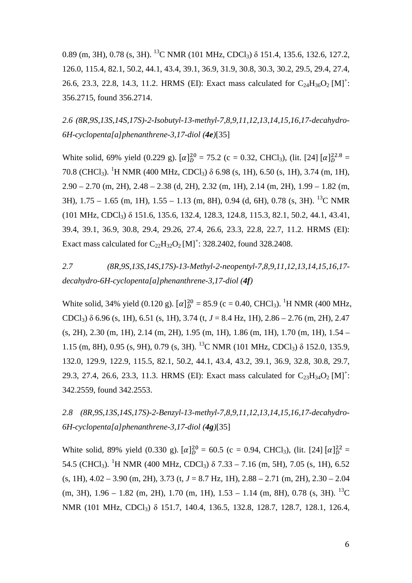0.89 (m, 3H), 0.78 (s, 3H). <sup>13</sup>C NMR (101 MHz, CDCl3) δ 151.4, 135.6, 132.6, 127.2, 126.0, 115.4, 82.1, 50.2, 44.1, 43.4, 39.1, 36.9, 31.9, 30.8, 30.3, 30.2, 29.5, 29.4, 27.4, 26.6, 23.3, 22.8, 14.3, 11.2. HRMS (EI): Exact mass calculated for  $C_{24}H_{36}O_2$  [M]<sup>+</sup>: 356.2715, found 356.2714.

*2.6 (8R,9S,13S,14S,17S)-2-Isobutyl-13-methyl-7,8,9,11,12,13,14,15,16,17-decahydro-6H-cyclopenta[a]phenanthrene-3,17-diol (4e)*[35]

White solid, 69% yield (0.229 g).  $[\alpha]_D^{20} = 75.2$  (c = 0.32, CHCl<sub>3</sub>), (lit. [24]  $[\alpha]_D^{22.8} =$ 70.8 (CHCl3). <sup>1</sup>H NMR (400 MHz, CDCl3) δ 6.98 (s, 1H), 6.50 (s, 1H), 3.74 (m, 1H),  $2.90 - 2.70$  (m, 2H),  $2.48 - 2.38$  (d, 2H),  $2.32$  (m, 1H),  $2.14$  (m, 2H),  $1.99 - 1.82$  (m, 3H),  $1.75 - 1.65$  (m, 1H),  $1.55 - 1.13$  (m, 8H), 0.94 (d, 6H), 0.78 (s, 3H). <sup>13</sup>C NMR (101 MHz, CDCl3) δ 151.6, 135.6, 132.4, 128.3, 124.8, 115.3, 82.1, 50.2, 44.1, 43.41, 39.4, 39.1, 36.9, 30.8, 29.4, 29.26, 27.4, 26.6, 23.3, 22.8, 22.7, 11.2. HRMS (EI): Exact mass calculated for  $C_{22}H_{32}O_2 [M]$ <sup>+</sup>: 328.2402, found 328.2408.

*2.7 (8R,9S,13S,14S,17S)-13-Methyl-2-neopentyl-7,8,9,11,12,13,14,15,16,17 decahydro-6H-cyclopenta[a]phenanthrene-3,17-diol (4f)* 

White solid, 34% yield (0.120 g).  $[\alpha]_D^{20} = 85.9$  (c = 0.40, CHCl<sub>3</sub>). <sup>1</sup>H NMR (400 MHz, CDCl3) δ 6.96 (s, 1H), 6.51 (s, 1H), 3.74 (t, *J* = 8.4 Hz, 1H), 2.86 – 2.76 (m, 2H), 2.47 (s, 2H), 2.30 (m, 1H), 2.14 (m, 2H), 1.95 (m, 1H), 1.86 (m, 1H), 1.70 (m, 1H), 1.54 – 1.15 (m, 8H), 0.95 (s, 9H), 0.79 (s, 3H). <sup>13</sup>C NMR (101 MHz, CDCl<sub>3</sub>)  $\delta$  152.0, 135.9, 132.0, 129.9, 122.9, 115.5, 82.1, 50.2, 44.1, 43.4, 43.2, 39.1, 36.9, 32.8, 30.8, 29.7, 29.3, 27.4, 26.6, 23.3, 11.3. HRMS (EI): Exact mass calculated for  $C_{23}H_{34}O_2$  [M]<sup>+</sup>: 342.2559, found 342.2553.

*2.8 (8R,9S,13S,14S,17S)-2-Benzyl-13-methyl-7,8,9,11,12,13,14,15,16,17-decahydro-6H-cyclopenta[a]phenanthrene-3,17-diol (4g)*[35]

White solid, 89% yield (0.330 g).  $[\alpha]_D^{20} = 60.5$  (c = 0.94, CHCl<sub>3</sub>), (lit. [24]  $[\alpha]_D^{22} =$ 54.5 (CHCl<sub>3</sub>). <sup>1</sup>H NMR (400 MHz, CDCl<sub>3</sub>)  $\delta$  7.33 – 7.16 (m, 5H), 7.05 (s, 1H), 6.52 (s, 1H), 4.02 – 3.90 (m, 2H), 3.73 (t, *J* = 8.7 Hz, 1H), 2.88 – 2.71 (m, 2H), 2.30 – 2.04  $(m, 3H)$ , 1.96 – 1.82  $(m, 2H)$ , 1.70  $(m, 1H)$ , 1.53 – 1.14  $(m, 8H)$ , 0.78  $(s, 3H)$ . <sup>13</sup>C NMR (101 MHz, CDCl<sub>3</sub>) δ 151.7, 140.4, 136.5, 132.8, 128.7, 128.7, 128.1, 126.4,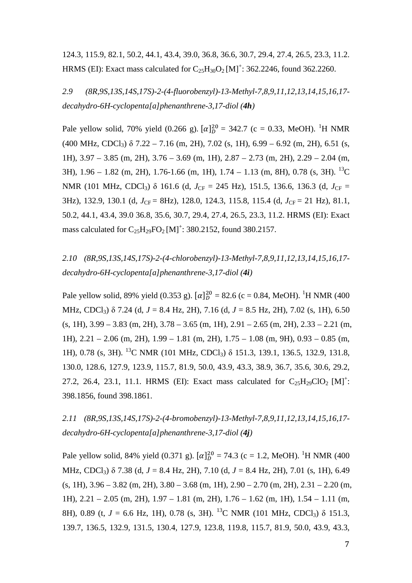124.3, 115.9, 82.1, 50.2, 44.1, 43.4, 39.0, 36.8, 36.6, 30.7, 29.4, 27.4, 26.5, 23.3, 11.2. HRMS (EI): Exact mass calculated for  $C_{25}H_{30}O_2 [M]^{+}$ : 362.2246, found 362.2260.

*2.9 (8R,9S,13S,14S,17S)-2-(4-fluorobenzyl)-13-Methyl-7,8,9,11,12,13,14,15,16,17 decahydro-6H-cyclopenta[a]phenanthrene-3,17-diol (4h)* 

Pale yellow solid, 70% yield (0.266 g).  $[\alpha]_D^{20} = 342.7$  (c = 0.33, MeOH). <sup>1</sup>H NMR (400 MHz, CDCl<sub>3</sub>)  $\delta$  7.22 – 7.16 (m, 2H), 7.02 (s, 1H), 6.99 – 6.92 (m, 2H), 6.51 (s, 1H), 3.97 – 3.85 (m, 2H), 3.76 – 3.69 (m, 1H), 2.87 – 2.73 (m, 2H), 2.29 – 2.04 (m, 3H),  $1.96 - 1.82$  (m, 2H),  $1.76 - 1.66$  (m, 1H),  $1.74 - 1.13$  (m, 8H), 0.78 (s, 3H). <sup>13</sup>C NMR (101 MHz, CDCl<sub>3</sub>) δ 161.6 (d,  $J_{CF} = 245$  Hz), 151.5, 136.6, 136.3 (d,  $J_{CF} =$ 3Hz), 132.9, 130.1 (d, *J*<sub>CF</sub> = 8Hz), 128.0, 124.3, 115.8, 115.4 (d, *J*<sub>CF</sub> = 21 Hz), 81.1, 50.2, 44.1, 43.4, 39.0 36.8, 35.6, 30.7, 29.4, 27.4, 26.5, 23.3, 11.2. HRMS (EI): Exact mass calculated for  $C_{25}H_{29}FO_{2}[M]^{+}$ : 380.2152, found 380.2157.

*2.10 (8R,9S,13S,14S,17S)-2-(4-chlorobenzyl)-13-Methyl-7,8,9,11,12,13,14,15,16,17 decahydro-6H-cyclopenta[a]phenanthrene-3,17-diol (4i)*

Pale yellow solid, 89% yield (0.353 g).  $[\alpha]_D^{20} = 82.6$  (c = 0.84, MeOH). <sup>1</sup>H NMR (400 MHz, CDCl3) δ 7.24 (d, *J* = 8.4 Hz, 2H), 7.16 (d, *J* = 8.5 Hz, 2H), 7.02 (s, 1H), 6.50  $(s, 1H), 3.99 - 3.83$  (m, 2H),  $3.78 - 3.65$  (m, 1H),  $2.91 - 2.65$  (m, 2H),  $2.33 - 2.21$  (m, 1H), 2.21 – 2.06 (m, 2H), 1.99 – 1.81 (m, 2H), 1.75 – 1.08 (m, 9H), 0.93 – 0.85 (m, 1H), 0.78 (s, 3H). <sup>13</sup>C NMR (101 MHz, CDCl<sub>3</sub>) δ 151.3, 139.1, 136.5, 132.9, 131.8, 130.0, 128.6, 127.9, 123.9, 115.7, 81.9, 50.0, 43.9, 43.3, 38.9, 36.7, 35.6, 30.6, 29.2, 27.2, 26.4, 23.1, 11.1. HRMS (EI): Exact mass calculated for  $C_{25}H_{29}ClO_2$  [M]<sup>+</sup>: 398.1856, found 398.1861.

*2.11 (8R,9S,13S,14S,17S)-2-(4-bromobenzyl)-13-Methyl-7,8,9,11,12,13,14,15,16,17 decahydro-6H-cyclopenta[a]phenanthrene-3,17-diol (4j)*

Pale yellow solid, 84% yield (0.371 g).  $[\alpha]_D^{20} = 74.3$  (c = 1.2, MeOH). <sup>1</sup>H NMR (400 MHz, CDCl3) δ 7.38 (d, *J* = 8.4 Hz, 2H), 7.10 (d, *J* = 8.4 Hz, 2H), 7.01 (s, 1H), 6.49  $(s, 1H)$ ,  $3.96 - 3.82$  (m,  $2H$ ),  $3.80 - 3.68$  (m,  $1H$ ),  $2.90 - 2.70$  (m,  $2H$ ),  $2.31 - 2.20$  (m, 1H), 2.21 – 2.05 (m, 2H), 1.97 – 1.81 (m, 2H), 1.76 – 1.62 (m, 1H), 1.54 – 1.11 (m, 8H), 0.89 (t, *J* = 6.6 Hz, 1H), 0.78 (s, 3H). <sup>13</sup>C NMR (101 MHz, CDCl<sub>3</sub>) δ 151.3, 139.7, 136.5, 132.9, 131.5, 130.4, 127.9, 123.8, 119.8, 115.7, 81.9, 50.0, 43.9, 43.3,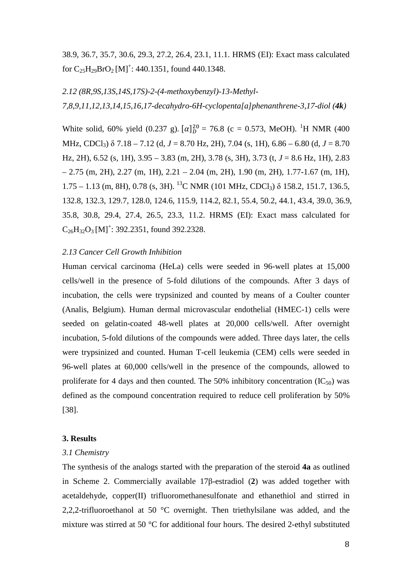38.9, 36.7, 35.7, 30.6, 29.3, 27.2, 26.4, 23.1, 11.1. HRMS (EI): Exact mass calculated for  $C_{25}H_{29}BrO_2 [M]^+$ : 440.1351, found 440.1348.

# *2.12 (8R,9S,13S,14S,17S)-2-(4-methoxybenzyl)-13-Methyl-7,8,9,11,12,13,14,15,16,17-decahydro-6H-cyclopenta[a]phenanthrene-3,17-diol (4k)*

White solid, 60% yield (0.237 g).  $[\alpha]_D^{20} = 76.8$  (c = 0.573, MeOH). <sup>1</sup>H NMR (400 MHz, CDCl3) δ 7.18 – 7.12 (d, *J* = 8.70 Hz, 2H), 7.04 (s, 1H), 6.86 – 6.80 (d, *J* = 8.70 Hz, 2H), 6.52 (s, 1H), 3.95 – 3.83 (m, 2H), 3.78 (s, 3H), 3.73 (t, *J* = 8.6 Hz, 1H), 2.83  $- 2.75$  (m, 2H), 2.27 (m, 1H), 2.21 – 2.04 (m, 2H), 1.90 (m, 2H), 1.77-1.67 (m, 1H),  $1.75 - 1.13$  (m, 8H), 0.78 (s, 3H). <sup>13</sup>C NMR (101 MHz, CDCl<sub>3</sub>)  $\delta$  158.2, 151.7, 136.5, 132.8, 132.3, 129.7, 128.0, 124.6, 115.9, 114.2, 82.1, 55.4, 50.2, 44.1, 43.4, 39.0, 36.9, 35.8, 30.8, 29.4, 27.4, 26.5, 23.3, 11.2. HRMS (EI): Exact mass calculated for  $C_{26}H_{32}O_3$  [M]<sup>+</sup>: 392.2351, found 392.2328.

## *2.13 Cancer Cell Growth Inhibition*

Human cervical carcinoma (HeLa) cells were seeded in 96-well plates at 15,000 cells/well in the presence of 5-fold dilutions of the compounds. After 3 days of incubation, the cells were trypsinized and counted by means of a Coulter counter (Analis, Belgium). Human dermal microvascular endothelial (HMEC-1) cells were seeded on gelatin-coated 48-well plates at 20,000 cells/well. After overnight incubation, 5-fold dilutions of the compounds were added. Three days later, the cells were trypsinized and counted. Human T-cell leukemia (CEM) cells were seeded in 96-well plates at 60,000 cells/well in the presence of the compounds, allowed to proliferate for 4 days and then counted. The 50% inhibitory concentration  $(IC_{50})$  was defined as the compound concentration required to reduce cell proliferation by 50% [38].

## **3. Results**

#### *3.1 Chemistry*

The synthesis of the analogs started with the preparation of the steroid **4a** as outlined in Scheme 2. Commercially available 17β-estradiol (**2**) was added together with acetaldehyde, copper(II) trifluoromethanesulfonate and ethanethiol and stirred in 2,2,2-trifluoroethanol at 50 °C overnight. Then triethylsilane was added, and the mixture was stirred at 50 °C for additional four hours. The desired 2-ethyl substituted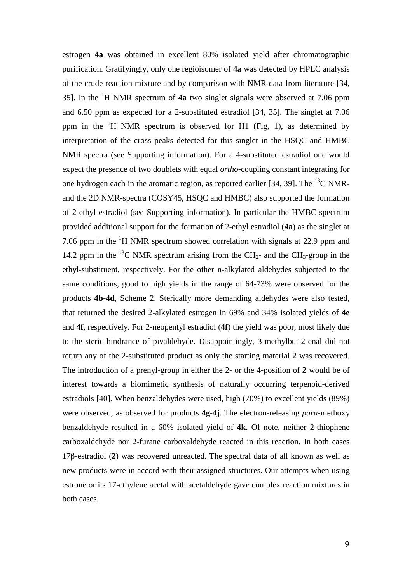estrogen **4a** was obtained in excellent 80% isolated yield after chromatographic purification. Gratifyingly, only one regioisomer of **4a** was detected by HPLC analysis of the crude reaction mixture and by comparison with NMR data from literature [34, 35]. In the <sup>1</sup>H NMR spectrum of **4a** two singlet signals were observed at 7.06 ppm and 6.50 ppm as expected for a 2-substituted estradiol [34, 35]. The singlet at 7.06 ppm in the  ${}^{1}H$  NMR spectrum is observed for H1 (Fig, 1), as determined by interpretation of the cross peaks detected for this singlet in the HSQC and HMBC NMR spectra (see Supporting information). For a 4-substituted estradiol one would expect the presence of two doublets with equal *ortho*-coupling constant integrating for one hydrogen each in the aromatic region, as reported earlier [34, 39]. The  $^{13}$ C NMRand the 2D NMR-spectra (COSY45, HSQC and HMBC) also supported the formation of 2-ethyl estradiol (see Supporting information). In particular the HMBC-spectrum provided additional support for the formation of 2-ethyl estradiol (**4a**) as the singlet at 7.06 ppm in the  ${}^{1}H$  NMR spectrum showed correlation with signals at 22.9 ppm and 14.2 ppm in the <sup>13</sup>C NMR spectrum arising from the CH<sub>2</sub>- and the CH<sub>3</sub>-group in the ethyl-substituent, respectively. For the other n-alkylated aldehydes subjected to the same conditions, good to high yields in the range of 64-73% were observed for the products **4b**-**4d**, Scheme 2. Sterically more demanding aldehydes were also tested, that returned the desired 2-alkylated estrogen in 69% and 34% isolated yields of **4e** and **4f**, respectively. For 2-neopentyl estradiol (**4f**) the yield was poor, most likely due to the steric hindrance of pivaldehyde. Disappointingly, 3-methylbut-2-enal did not return any of the 2-substituted product as only the starting material **2** was recovered. The introduction of a prenyl-group in either the 2- or the 4-position of **2** would be of interest towards a biomimetic synthesis of naturally occurring terpenoid-derived estradiols [40]. When benzaldehydes were used, high (70%) to excellent yields (89%) were observed, as observed for products **4g**-**4j**. The electron-releasing *para*-methoxy benzaldehyde resulted in a 60% isolated yield of **4k**. Of note, neither 2-thiophene carboxaldehyde nor 2-furane carboxaldehyde reacted in this reaction. In both cases 17β-estradiol (**2**) was recovered unreacted. The spectral data of all known as well as new products were in accord with their assigned structures. Our attempts when using estrone or its 17-ethylene acetal with acetaldehyde gave complex reaction mixtures in both cases.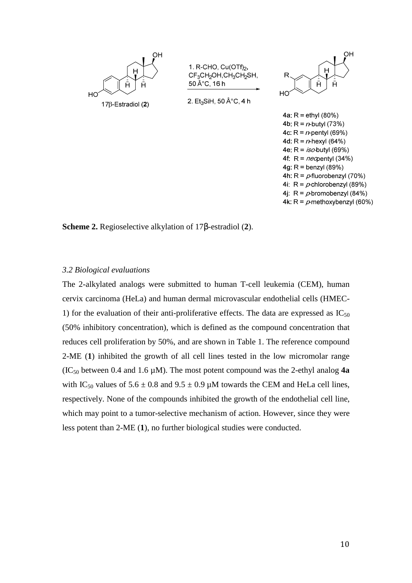

1. R-CHO, Cu(OTf)<sub>2</sub>, CF<sub>3</sub>CH<sub>2</sub>OH, CH<sub>3</sub>CH<sub>2</sub>SH, 50 °C, 16 h





4a:  $R = e^{\frac{1}{2}(80\%)}$ 4b:  $R = r$ -butyl (73%) 4c:  $R = n$ -pentyl (69%) 4d:  $R = n$ -hexyl (64%) 4e:  $R = iso$ -butyl (69%) 4f:  $R = n \neq$  (34%) 4 $a: R =$  benzyl (89%) 4h:  $R = p$ -fluorobenzyl (70%) 4i:  $R = p$ -chlorobenzyl (89%) 4j:  $R = p$ -bromobenzyl (84%) 4k:  $R = p$ -methoxybenzyl (60%)

**Scheme 2.** Regioselective alkylation of 17β-estradiol (**2**).

### *3.2 Biological evaluations*

The 2-alkylated analogs were submitted to human T-cell leukemia (CEM), human cervix carcinoma (HeLa) and human dermal microvascular endothelial cells (HMEC-1) for the evaluation of their anti-proliferative effects. The data are expressed as  $IC_{50}$ (50% inhibitory concentration), which is defined as the compound concentration that reduces cell proliferation by 50%, and are shown in Table 1. The reference compound 2-ME (**1**) inhibited the growth of all cell lines tested in the low micromolar range  $(IC_{50}$  between 0.4 and 1.6  $\mu$ M). The most potent compound was the 2-ethyl analog 4a with IC<sub>50</sub> values of  $5.6 \pm 0.8$  and  $9.5 \pm 0.9$  µM towards the CEM and HeLa cell lines, respectively. None of the compounds inhibited the growth of the endothelial cell line, which may point to a tumor-selective mechanism of action. However, since they were less potent than 2-ME (**1**), no further biological studies were conducted.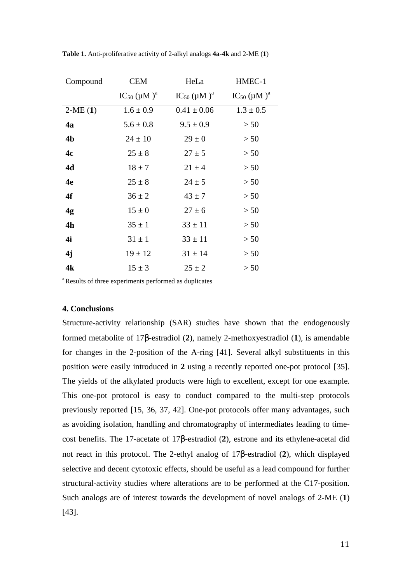| Compound  | <b>CEM</b>            | HeLa                  | HMEC-1                |
|-----------|-----------------------|-----------------------|-----------------------|
|           | $IC_{50} (\mu M)^{a}$ | $IC_{50} (\mu M)^{a}$ | $IC_{50} (\mu M)^{a}$ |
| $2-ME(1)$ | $1.6 \pm 0.9$         | $0.41 \pm 0.06$       | $1.3 \pm 0.5$         |
| 4a        | $5.6 \pm 0.8$         | $9.5 \pm 0.9$         | > 50                  |
| 4b        | $24 \pm 10$           | $29 \pm 0$            | > 50                  |
| 4c        | $25 \pm 8$            | $27 \pm 5$            | > 50                  |
| 4d        | $18 \pm 7$            | $21 \pm 4$            | > 50                  |
| 4e        | $25 \pm 8$            | $24 \pm 5$            | > 50                  |
| 4f        | $36 \pm 2$            | $43 \pm 7$            | > 50                  |
| 4g        | $15 \pm 0$            | $27 \pm 6$            | > 50                  |
| 4h        | $35 \pm 1$            | $33 \pm 11$           | > 50                  |
| 4i        | $31 \pm 1$            | $33 \pm 11$           | > 50                  |
| 4j        | $19 \pm 12$           | $31 \pm 14$           | > 50                  |
| 4k        | $15 \pm 3$            | $25 \pm 2$            | > 50                  |

**Table 1.** Anti-proliferative activity of 2-alkyl analogs **4a**-**4k** and 2-ME (**1**)

<sup>a</sup>Results of three experiments performed as duplicates

#### **4. Conclusions**

Structure-activity relationship (SAR) studies have shown that the endogenously formed metabolite of 17β-estradiol (**2**), namely 2-methoxyestradiol (**1**), is amendable for changes in the 2-position of the A-ring [41]. Several alkyl substituents in this position were easily introduced in **2** using a recently reported one-pot protocol [35]. The yields of the alkylated products were high to excellent, except for one example. This one-pot protocol is easy to conduct compared to the multi-step protocols previously reported [15, 36, 37, 42]. One-pot protocols offer many advantages, such as avoiding isolation, handling and chromatography of intermediates leading to timecost benefits. The 17-acetate of 17β-estradiol (**2**), estrone and its ethylene-acetal did not react in this protocol. The 2-ethyl analog of 17β-estradiol (**2**), which displayed selective and decent cytotoxic effects, should be useful as a lead compound for further structural-activity studies where alterations are to be performed at the C17-position. Such analogs are of interest towards the development of novel analogs of 2-ME (**1**) [43].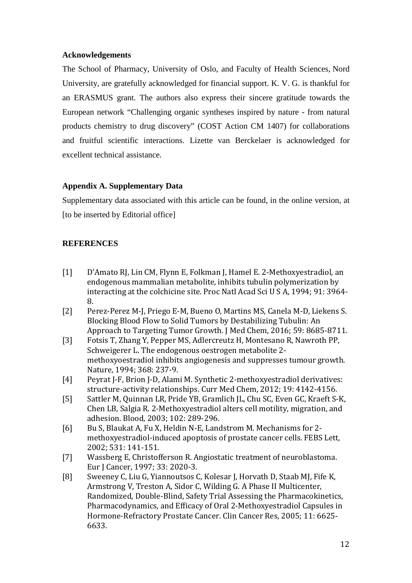## **Acknowledgements**

The School of Pharmacy, University of Oslo, and Faculty of Health Sciences, Nord University, are gratefully acknowledged for financial support. K. V. G. is thankful for an ERASMUS grant. The authors also express their sincere gratitude towards the European network "Challenging organic syntheses inspired by nature - from natural products chemistry to drug discovery" (COST Action CM 1407) for collaborations and fruitful scientific interactions. Lizette van Berckelaer is acknowledged for excellent technical assistance.

# **Appendix A. Supplementary Data**

Supplementary data associated with this article can be found, in the online version, at [to be inserted by Editorial office]

# **REFERENCES**

- [1] D'Amato RJ, Lin CM, Flynn E, Folkman J, Hamel E. 2-Methoxyestradiol, an endogenous mammalian metabolite, inhibits tubulin polymerization by interacting at the colchicine site. Proc Natl Acad Sci U S A, 1994; 91: 3964- 8.
- [2] Perez-Perez M-J, Priego E-M, Bueno O, Martins MS, Canela M-D, Liekens S. Blocking Blood Flow to Solid Tumors by Destabilizing Tubulin: An Approach to Targeting Tumor Growth. J Med Chem, 2016; 59: 8685-8711.
- [3] Fotsis T, Zhang Y, Pepper MS, Adlercreutz H, Montesano R, Nawroth PP, Schweigerer L. The endogenous oestrogen metabolite 2 methoxyoestradiol inhibits angiogenesis and suppresses tumour growth. Nature, 1994; 368: 237-9.
- [4] Peyrat J-F, Brion J-D, Alami M. Synthetic 2-methoxyestradiol derivatives: structure-activity relationships. Curr Med Chem, 2012; 19: 4142-4156.
- [5] Sattler M, Quinnan LR, Pride YB, Gramlich JL, Chu SC, Even GC, Kraeft S-K, Chen LB, Salgia R. 2-Methoxyestradiol alters cell motility, migration, and adhesion. Blood, 2003; 102: 289-296.
- [6] Bu S, Blaukat A, Fu X, Heldin N-E, Landstrom M. Mechanisms for 2 methoxyestradiol-induced apoptosis of prostate cancer cells. FEBS Lett, 2002; 531: 141-151.
- [7] Wassberg E, Christofferson R. Angiostatic treatment of neuroblastoma. Eur J Cancer, 1997; 33: 2020-3.
- [8] Sweeney C, Liu G, Yiannoutsos C, Kolesar J, Horvath D, Staab MJ, Fife K, Armstrong V, Treston A, Sidor C, Wilding G. A Phase II Multicenter, Randomized, Double-Blind, Safety Trial Assessing the Pharmacokinetics, Pharmacodynamics, and Efficacy of Oral 2-Methoxyestradiol Capsules in Hormone-Refractory Prostate Cancer. Clin Cancer Res, 2005; 11: 6625- 6633.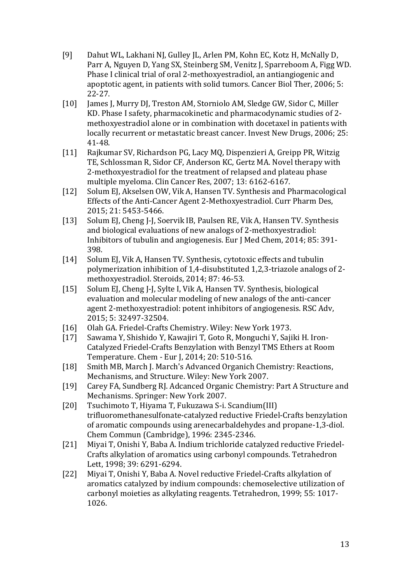- [9] Dahut WL, Lakhani NJ, Gulley JL, Arlen PM, Kohn EC, Kotz H, McNally D, Parr A, Nguyen D, Yang SX, Steinberg SM, Venitz J, Sparreboom A, Figg WD. Phase I clinical trial of oral 2-methoxyestradiol, an antiangiogenic and apoptotic agent, in patients with solid tumors. Cancer Biol Ther, 2006; 5: 22-27.
- [10] James J, Murry DJ, Treston AM, Storniolo AM, Sledge GW, Sidor C, Miller KD. Phase I safety, pharmacokinetic and pharmacodynamic studies of 2 methoxyestradiol alone or in combination with docetaxel in patients with locally recurrent or metastatic breast cancer. Invest New Drugs, 2006; 25: 41-48.
- [11] Rajkumar SV, Richardson PG, Lacy MQ, Dispenzieri A, Greipp PR, Witzig TE, Schlossman R, Sidor CF, Anderson KC, Gertz MA. Novel therapy with 2-methoxyestradiol for the treatment of relapsed and plateau phase multiple myeloma. Clin Cancer Res, 2007; 13: 6162-6167.
- [12] Solum EJ, Akselsen OW, Vik A, Hansen TV. Synthesis and Pharmacological Effects of the Anti-Cancer Agent 2-Methoxyestradiol. Curr Pharm Des, 2015; 21: 5453-5466.
- [13] Solum EJ, Cheng J-J, Soervik IB, Paulsen RE, Vik A, Hansen TV. Synthesis and biological evaluations of new analogs of 2-methoxyestradiol: Inhibitors of tubulin and angiogenesis. Eur J Med Chem, 2014; 85: 391- 398.
- [14] Solum EJ, Vik A, Hansen TV. Synthesis, cytotoxic effects and tubulin polymerization inhibition of 1,4-disubstituted 1,2,3-triazole analogs of 2 methoxyestradiol. Steroids, 2014; 87: 46-53.
- [15] Solum EJ, Cheng J-J, Sylte I, Vik A, Hansen TV. Synthesis, biological evaluation and molecular modeling of new analogs of the anti-cancer agent 2-methoxyestradiol: potent inhibitors of angiogenesis. RSC Adv, 2015; 5: 32497-32504.
- [16] Olah GA. Friedel-Crafts Chemistry. Wiley: New York 1973.
- [17] Sawama Y, Shishido Y, Kawajiri T, Goto R, Monguchi Y, Sajiki H. Iron-Catalyzed Friedel-Crafts Benzylation with Benzyl TMS Ethers at Room Temperature. Chem - Eur J, 2014; 20: 510-516.
- [18] Smith MB, March J. March's Advanced Organich Chemistry: Reactions, Mechanisms, and Structure. Wiley: New York 2007.
- [19] Carey FA, Sundberg RJ. Adcanced Organic Chemistry: Part A Structure and Mechanisms. Springer: New York 2007.
- [20] Tsuchimoto T, Hiyama T, Fukuzawa S-i. Scandium(III) trifluoromethanesulfonate-catalyzed reductive Friedel-Crafts benzylation of aromatic compounds using arenecarbaldehydes and propane-1,3-diol. Chem Commun (Cambridge), 1996: 2345-2346.
- [21] Miyai T, Onishi Y, Baba A. Indium trichloride catalyzed reductive Friedel-Crafts alkylation of aromatics using carbonyl compounds. Tetrahedron Lett, 1998; 39: 6291-6294.
- [22] Miyai T, Onishi Y, Baba A. Novel reductive Friedel-Crafts alkylation of aromatics catalyzed by indium compounds: chemoselective utilization of carbonyl moieties as alkylating reagents. Tetrahedron, 1999; 55: 1017- 1026.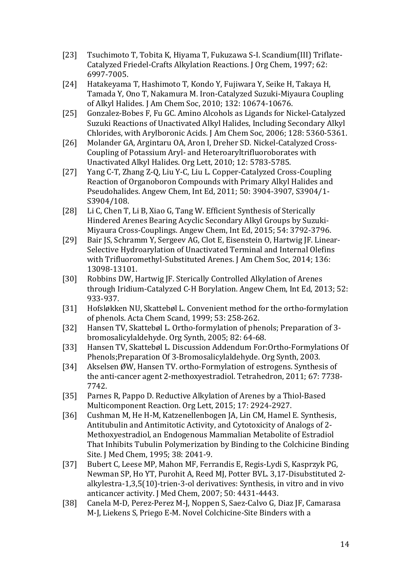- [23] Tsuchimoto T, Tobita K, Hiyama T, Fukuzawa S-I. Scandium(III) Triflate-Catalyzed Friedel-Crafts Alkylation Reactions. J Org Chem, 1997; 62: 6997-7005.
- [24] Hatakeyama T, Hashimoto T, Kondo Y, Fujiwara Y, Seike H, Takaya H, Tamada Y, Ono T, Nakamura M. Iron-Catalyzed Suzuki-Miyaura Coupling of Alkyl Halides. J Am Chem Soc, 2010; 132: 10674-10676.
- [25] Gonzalez-Bobes F, Fu GC. Amino Alcohols as Ligands for Nickel-Catalyzed Suzuki Reactions of Unactivated Alkyl Halides, Including Secondary Alkyl Chlorides, with Arylboronic Acids. J Am Chem Soc, 2006; 128: 5360-5361.
- [26] Molander GA, Argintaru OA, Aron I, Dreher SD. Nickel-Catalyzed Cross-Coupling of Potassium Aryl- and Heteroaryltrifluoroborates with Unactivated Alkyl Halides. Org Lett, 2010; 12: 5783-5785.
- [27] Yang C-T, Zhang Z-Q, Liu Y-C, Liu L. Copper-Catalyzed Cross-Coupling Reaction of Organoboron Compounds with Primary Alkyl Halides and Pseudohalides. Angew Chem, Int Ed, 2011; 50: 3904-3907, S3904/1- S3904/108.
- [28] Li C, Chen T, Li B, Xiao G, Tang W. Efficient Synthesis of Sterically Hindered Arenes Bearing Acyclic Secondary Alkyl Groups by Suzuki-Miyaura Cross-Couplings. Angew Chem, Int Ed, 2015; 54: 3792-3796.
- [29] Bair JS, Schramm Y, Sergeev AG, Clot E, Eisenstein O, Hartwig JF. Linear-Selective Hydroarylation of Unactivated Terminal and Internal Olefins with Trifluoromethyl-Substituted Arenes. J Am Chem Soc, 2014; 136: 13098-13101.
- [30] Robbins DW, Hartwig JF. Sterically Controlled Alkylation of Arenes through Iridium-Catalyzed C-H Borylation. Angew Chem, Int Ed, 2013; 52: 933-937.
- [31] Hofsløkken NU, Skattebøl L. Convenient method for the ortho-formylation of phenols. Acta Chem Scand, 1999; 53: 258-262.
- [32] Hansen TV, Skattebøl L. Ortho-formylation of phenols; Preparation of 3 bromosalicylaldehyde. Org Synth, 2005; 82: 64-68.
- [33] Hansen TV, Skattebøl L. Discussion Addendum For:Ortho-Formylations Of Phenols;Preparation Of 3-Bromosalicylaldehyde. Org Synth, 2003.
- [34] Akselsen ØW, Hansen TV. ortho-Formylation of estrogens. Synthesis of the anti-cancer agent 2-methoxyestradiol. Tetrahedron, 2011; 67: 7738- 7742.
- [35] Parnes R, Pappo D. Reductive Alkylation of Arenes by a Thiol-Based Multicomponent Reaction. Org Lett, 2015; 17: 2924-2927.
- [36] Cushman M, He H-M, Katzenellenbogen JA, Lin CM, Hamel E. Synthesis, Antitubulin and Antimitotic Activity, and Cytotoxicity of Analogs of 2- Methoxyestradiol, an Endogenous Mammalian Metabolite of Estradiol That Inhibits Tubulin Polymerization by Binding to the Colchicine Binding Site. J Med Chem, 1995; 38: 2041-9.
- [37] Bubert C, Leese MP, Mahon MF, Ferrandis E, Regis-Lydi S, Kasprzyk PG, Newman SP, Ho YT, Purohit A, Reed MJ, Potter BVL. 3,17-Disubstituted 2 alkylestra-1,3,5(10)-trien-3-ol derivatives: Synthesis, in vitro and in vivo anticancer activity. J Med Chem, 2007; 50: 4431-4443.
- [38] Canela M-D, Perez-Perez M-J, Noppen S, Saez-Calvo G, Diaz JF, Camarasa M-J, Liekens S, Priego E-M. Novel Colchicine-Site Binders with a